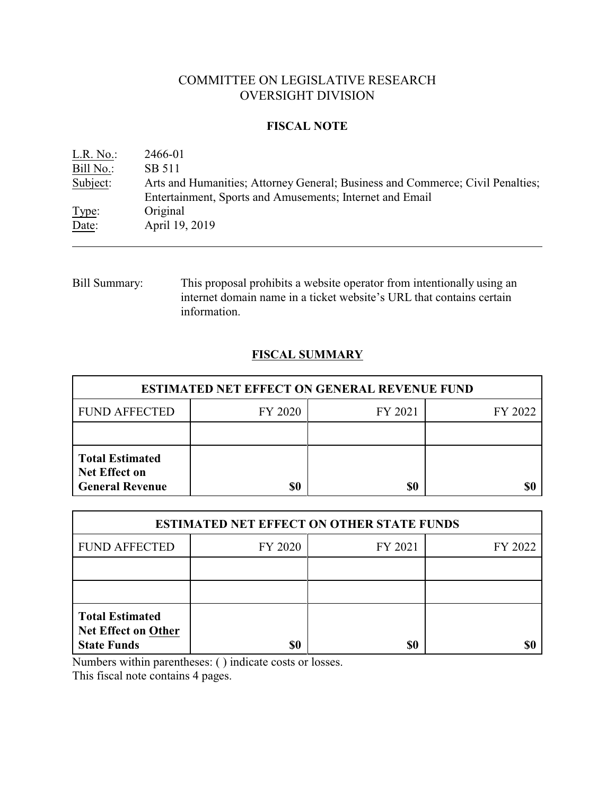# COMMITTEE ON LEGISLATIVE RESEARCH OVERSIGHT DIVISION

### **FISCAL NOTE**

| Arts and Humanities; Attorney General; Business and Commerce; Civil Penalties; |
|--------------------------------------------------------------------------------|
|                                                                                |
|                                                                                |

Bill Summary: This proposal prohibits a website operator from intentionally using an internet domain name in a ticket website's URL that contains certain information.

# **FISCAL SUMMARY**

| <b>ESTIMATED NET EFFECT ON GENERAL REVENUE FUND</b>                      |         |         |         |  |
|--------------------------------------------------------------------------|---------|---------|---------|--|
| <b>FUND AFFECTED</b>                                                     | FY 2020 | FY 2021 | FY 2022 |  |
|                                                                          |         |         |         |  |
| <b>Total Estimated</b><br><b>Net Effect on</b><br><b>General Revenue</b> | \$0     | \$0     |         |  |

| <b>ESTIMATED NET EFFECT ON OTHER STATE FUNDS</b>                           |         |         |         |  |
|----------------------------------------------------------------------------|---------|---------|---------|--|
| <b>FUND AFFECTED</b>                                                       | FY 2020 | FY 2021 | FY 2022 |  |
|                                                                            |         |         |         |  |
|                                                                            |         |         |         |  |
| <b>Total Estimated</b><br><b>Net Effect on Other</b><br><b>State Funds</b> | \$0     | \$0     |         |  |

Numbers within parentheses: ( ) indicate costs or losses.

This fiscal note contains 4 pages.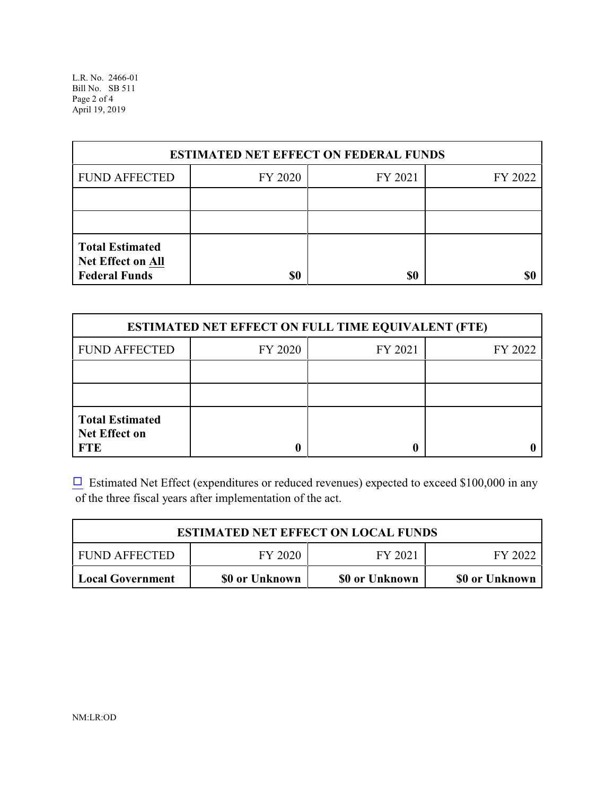L.R. No. 2466-01 Bill No. SB 511 Page 2 of 4 April 19, 2019

| <b>ESTIMATED NET EFFECT ON FEDERAL FUNDS</b>                        |         |         |         |  |
|---------------------------------------------------------------------|---------|---------|---------|--|
| <b>FUND AFFECTED</b>                                                | FY 2020 | FY 2021 | FY 2022 |  |
|                                                                     |         |         |         |  |
|                                                                     |         |         |         |  |
| <b>Total Estimated</b><br>Net Effect on All<br><b>Federal Funds</b> | \$0     | \$0     | \$C     |  |

| <b>ESTIMATED NET EFFECT ON FULL TIME EQUIVALENT (FTE)</b>    |         |                    |  |  |  |  |
|--------------------------------------------------------------|---------|--------------------|--|--|--|--|
| <b>FUND AFFECTED</b>                                         | FY 2020 | FY 2021<br>FY 2022 |  |  |  |  |
|                                                              |         |                    |  |  |  |  |
|                                                              |         |                    |  |  |  |  |
| <b>Total Estimated</b><br><b>Net Effect on</b><br><b>FTE</b> |         |                    |  |  |  |  |

 $\Box$  Estimated Net Effect (expenditures or reduced revenues) expected to exceed \$100,000 in any of the three fiscal years after implementation of the act.

| <b>ESTIMATED NET EFFECT ON LOCAL FUNDS</b> |                |                |                |  |
|--------------------------------------------|----------------|----------------|----------------|--|
| <b>FUND AFFECTED</b>                       | FY 2020        | FY 2021        | FY 2022        |  |
| Local Government                           | \$0 or Unknown | \$0 or Unknown | \$0 or Unknown |  |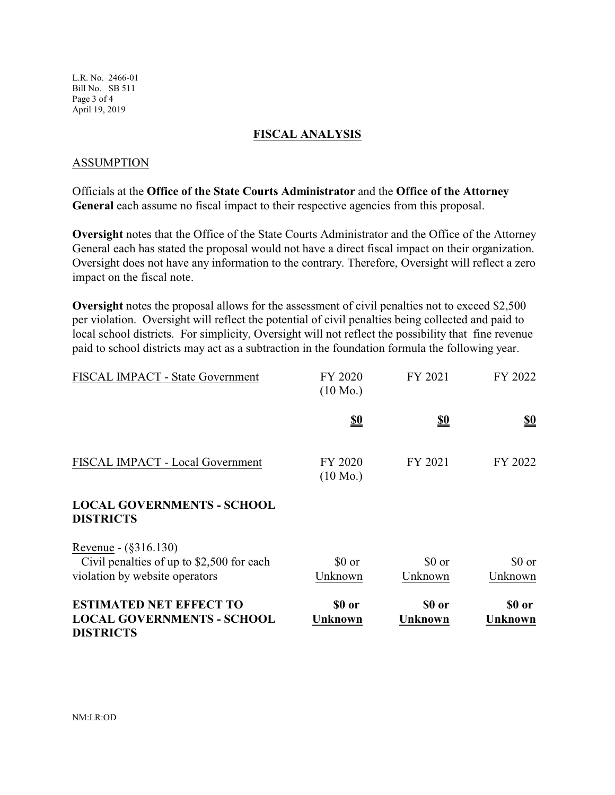L.R. No. 2466-01 Bill No. SB 511 Page 3 of 4 April 19, 2019

### **FISCAL ANALYSIS**

### ASSUMPTION

Officials at the **Office of the State Courts Administrator** and the **Office of the Attorney General** each assume no fiscal impact to their respective agencies from this proposal.

**Oversight** notes that the Office of the State Courts Administrator and the Office of the Attorney General each has stated the proposal would not have a direct fiscal impact on their organization. Oversight does not have any information to the contrary. Therefore, Oversight will reflect a zero impact on the fiscal note.

**Oversight** notes the proposal allows for the assessment of civil penalties not to exceed \$2,500 per violation. Oversight will reflect the potential of civil penalties being collected and paid to local school districts. For simplicity, Oversight will not reflect the possibility that fine revenue paid to school districts may act as a subtraction in the foundation formula the following year.

| FISCAL IMPACT - State Government                                                                    | FY 2020<br>$(10 \text{ Mo.})$ | FY 2021           | FY 2022           |
|-----------------------------------------------------------------------------------------------------|-------------------------------|-------------------|-------------------|
|                                                                                                     | <u>\$0</u>                    | <u>\$0</u>        | <u>\$0</u>        |
| FISCAL IMPACT - Local Government                                                                    | FY 2020<br>$(10 \text{ Mo.})$ | FY 2021           | FY 2022           |
| <b>LOCAL GOVERNMENTS - SCHOOL</b><br><b>DISTRICTS</b>                                               |                               |                   |                   |
| Revenue - (§316.130)<br>Civil penalties of up to \$2,500 for each<br>violation by website operators | \$0 or<br>Unknown             | \$0 or<br>Unknown | \$0 or<br>Unknown |
| <b>ESTIMATED NET EFFECT TO</b><br><b>LOCAL GOVERNMENTS - SCHOOL</b><br><b>DISTRICTS</b>             | \$0 or<br>Unknown             | \$0 or<br>Unknown | \$0 or<br>Unknown |